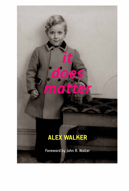ø

# **ALEX WALKER**

Foreword by John R. Walter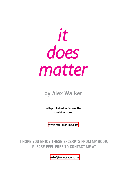*it does matter*

by Alex Walker

self-published in Cyprus the sunshine island

<www.mralexonline.com>

I HOPE YOU ENJOY THESE EXCERPTS FROM MY BOOK, PLEASE FEEL FREE TO CONTACT ME AT

[info@mralex.online](mailto:info@mralex.online)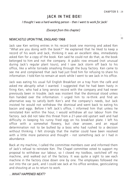## JACK IN THE BOX!

#### *I thought I was a hard-working person - then I went to work for Jack!*

#### *(Excerpt from this chapter)*

# <sup>30</sup> NEWCASTLE UPON TYNE, ENGLAND 1968

Jack saw Ken writing entries in his record book one morning and asked Ken "What are you doing with the book?" He explained that he liked to keep a record of his work and Jack, thinking it was an excellent idea, immediately asked Ken for a copy of the book. Ken said he could not do that, as the book belonged to him and not the company. A public row ensued (not unusual during Jack's regular plant tours), and I saw Jack storm off back to his office, like a white tornado smashing through the busy factory. Ken came to see me and complained that Jack had just fired him for refusing to share his information. I told Ken to remain at work while I went to see Jack in his office.

Jack was eating his usual full English Breakfast on a tray from the café and asked me abruptly what I wanted. I suggested that he had been hasty in firing Ken, who had a long service record with the company and had never previously been in trouble. Jack was insistent that the dismissal stood unless Ken handed over the information. I urged him to re-think and find an alternative way to satisfy both Ken's and the company's needs, but Jack insisted he would not withdraw the dismissal and went back to eating his bacon and eggs. Before I left Jack's office, I informed him that unless he reinstated Ken within the hour, I would withdraw all our labour from the factory. Jack did not take this threat from a 21-year-old upstart well and had difficulty in keeping his runny fried egg on his breakfast plate. I left his office with a somewhat flowery, but clear answer, and an equal determination not to be bullied by a boss who had rushed to a decision without thinking. I felt strongly that the matter could have been resolved with a little more patience and thought - not something Jack or I had in abundance.

Back at my machine, I called the committee members over and informed them of Jack's refusal to reinstate Ken. The Chapel committee voted to support my proposal to withdraw our labour, so I closed my toolbox, switched off my machine, and walked out of the factory. It was quite a sight to see each machine in the factory close down one by one. The employees followed me out into the car park, and I could see Jack at his office window, gesticulating and shouting at us to return to work.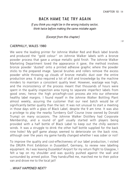# BACK HAME TAE TRY AGAIN

#### *If you think you might be in the wrong industry sector, think twice before making the same mistake again*

#### *(Excerpt from this chapter)*

#### CAERPHILLY, WALES 1980

We were the leading printer for Johnnie Walker Red and Black label brands and produced the "gold colour" on Johnnie Walker labels with a bronze powder process that gave a unique metallic gold finish. The Johnnie Walker Marketing Department loved the appearance it gave; the method involves bronze powder 'dusted' onto a printed adhesive graphic where the powder sticks to the prepared image. Special brushes and rollers remove the excess powder while throwing up clouds of bronze metallic dust over the entire production area. It also required a lot of skill and knowledge by the machine minders to maintain a consistent quality level. However, wastage was high, and the inconsistency of the process meant that thousands of hours were spent in the quality inspection area trying to separate imperfect labels from good ones; hence the high price/high-cost process ate into our otherwise healthy label margins. I found myself in the Johnnie Walker Bottling Plant almost weekly, assuring the customer that our next batch would be of significantly better quality than the last. It was not unusual to start a meeting in those days with a glass of Black Label, despite the 9 am time. It was also a privilege to play the nearby Turnberry Golf Course (now owned by Donald Trump) on many occasions. The Johnnie Walker Distillery had Corporate Membership, and a round of golf usually started with players being provided with a half bottle of Black Label to keep out the chilly western winds. It was a struggle to drink the other half bottle supplied for the back nine holes! My golf game always seemed to deteriorate on the back nine, although over the years my game hardly changed whether I was sober or not!

To improve the quality and cost-effectiveness of our label production, I visited the DRUPA Print Exhibition in Dusseldorf, Germany, to review new labelling equipment. As I was leaving Dusseldorf Airport for my return flight to Glasgow, I felt a tap on my shoulder and was quickly pushed against the wall and surrounded by armed police. They handcuffed me, marched me to their police van and drove me to the local jail!

#### *...WHAT HAPPENED NEXT?*

| 61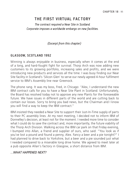# THE FIRST VIRTUAL FAC TORY

#### *The contract required a Near Site in Scotland. Corporate imposes a worldwide embargo on new facilities.*

#### *(Excerpt from this chapter)*

#### GLASGOW, SCOTLAND 1992

Winning is always enjoyable in business, especially when it comes at the end of a long, and hard-fought fight for survival. Thorp Arch was now adding new customers to its growing portfolio, increasing sales and profits, and we were introducing new products and services all the time. I was busy finding our Near Site facility in Scotland's 'Silicon Glen' to serve our newly agreed 4-hour fulfilment service to IBM's Assembly line near Greenock.

The phone rang. It was my boss, Fred, in Chicago: "Alex, I understand the new IBM contract calls for you to have a Near Site Plant in Scotland. Unfortunately, the Board has resolved today not to approve any new Plants for the foreseeable future. We have issues in different parts of the world and are cutting back to contain our losses. Sorry to bring you bad news, but the Chairman and I know you will find a way to keep the IBM contract."

IBM insisted they needed a Near Site to support their Just-In-Time supply of parts to their PC assembly lines. At my next meeting, I decided not to inform IBM of Donnelley's decision, at least not for the moment. I needed more time to consider what I could do to save the contract and, more importantly, the future viability of the Thorp Arch Division. Walking across the IBM car park on that Friday evening, I bumped into Allan, a friend and supplier of ours, who said: "You look as if you've lost a pound and found a penny, Alex. Fancy a beer and a pie tonight?" I had planned to drive back to Yorkshire, but a beer and a pie sounded just what I needed compared to a miserable long drive home. We agreed to meet later at a pub opposite Allan's factory in Glasgow, a short distance from IBM.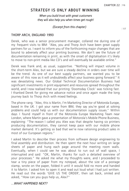# STRATEGY IS ONLY ABOUT WINNING

#### *When you build trust with great customers they will also help you when times get rough!*

#### *(Excerpt from this chapter)*

| 117

#### THORP ARCH, ENGLAND 1993

Derek, who was a senior procurement manager, collared me during one of my frequent visits to IBM: "Alex, you and Thorp Arch have been great supply partners for us. I want to inform you of the forthcoming major changes that are bound to adversely affect your printing business. We don't see the future of documentation remaining in print, as with the onset of digitalisation it's likely to move to non-print media like CD's and will eventually be available online."

Derek was frank and, as usual, supportive. "Nothing will impact volume in the short-term Alex, but we are sure a steady decline in orders over time will be the trend. As one of our best supply partners, we wanted you to be aware of this now as it will undoubtedly affect your business going forward." It was devastating news. Our Global Technical Documentation Business had significant investments in print equipment and resources spread throughout the world, and I now realised that our printing 'Doomsday Clock' was ticking fast. I thanked Derek for giving me advance notice and once again made the long journey back to Thorp Arch with mixed feelings.

The phone rang. "Alex, this is Martin, I'm Marketing Director of Motorola Europe, based in the UK. I got your name from IBM; they say you're good at solving problems and could help us with our documentation supply issues." Within days I found myself in front of the Motorola Europe Marketing Team near London, where Martin gave a presentation of Motorola's Mobile Phone Business, explaining: "The reason I called you Alex was that despite having six printers producing documentation, they cannot keep pace with our mobile phone market demand. It's getting so bad that we're now rationing product sales in most of our European regions."

I asked Martin to describe their process from software design engineering to final assembly and distribution. He then spent the next hour writing on large sheets of paper and hung each page around the meeting room walls. Eventually, when I could see he was about to run out of wall space, I interrupted and said: "OK, Martin, thanks for such a detailed overview of your processes." He asked me what my thoughts were, and I proceeded to tear a tiny piece of paper from my notepad, about the size of a postage stamp, wrote on the paper, folded it until it would fold no more and handed it to Martin. I asked him to open it and read out loud what I had just written. He read out the words 'GIVE US THE ORDER', then sat back, smiled and asked, "How can you guys help us, Alex?"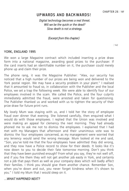# UPWARDS AND BACKWARDS!

*Digital technology becomes a real threat. Will we be the quick or the dead? Slow death is not a strategy.*

*(Excerpt from this chapter)* 

| 142

#### YORK, ENGLAND 1995

We won a large Magazine contract which included inserting a prize draw form into a national magazine, awarding good prizes to the purchaser. If the card inserts had an identifiable number on it, the purchaser could merely phone up and claim their prize.

The phone rang, it was the Magazine Publisher: "Alex, our security has noticed that a high number of our prizes are being won and delivered to the York postal region. We may have a security problem in your plant." I realised that it amounted to fraud so, in collaboration with the Publisher and the local Police, we set a trap the following week. We were able to identify four of our employees involved in the scam. We called the Police, and the four culprits immediately admitted the fraud, were arrested and taken for questioning. The Publisher thanked us and worked with us to tighten the security of their prize draw for future print runs.

My lovely Mum was staying with us, and I told her the story of employee fraud over dinner that evening. She listened carefully, then enquired what I would do with those employees. I replied that the Union was involved and were making an appeal for clemency the next morning. They had already phoned me to ask me not to dismiss the employees. I explained that I had met with my Managers that afternoon and their unanimous vote was to dismiss the four employees concerned, as my management were worried that any leniency would send the wrong message. Mum looked at me and said, "Son, you've told me that the four employees have admitted they did wrong, and they now have a Police record to show for their deeds. It looks like it's now down to you to decide their fate tomorrow morning. Don't you think that they have been punished enough? From what you say, they're not well off, and if you fire them they will not get another job easily in York, and certainly not a job that pays them as well as your company does which will badly affect their families. I think you should give them another chance. Remember Son, when you're down and out, you never forget kindness when it's shown to you." I told my Mum that I would sleep on it.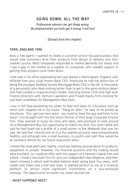# GOING DOWN, ALL THE WAY

#### *Professional advisors can get things wrong. Be prepared when you both get it wrong; it will hurt*

#### *(Excerpt from this chapter)*

#### YORK, ENGLAND 1996

Now a free agent, I wanted to create a customer service focused business that would help customers drive their products from design to delivery into their markets quickly. Most companies responded to market demands too slowly and I saw a gap in the market as a supplier to companies who needed support in getting their product cycle times down.

I met Josh in his office overlooking the Lace Market in Nottingham, England. Josh differed from your usual former Bank CEO. Previously he had the distinction of being the youngest Building Society (Mortgage Bank) CEO in the UK. A firecracker of a personality who liked nothing better than to get to the point without delay! Josh had created a unique business model; matching former CEOs and high-level Finance Directors with Venture Capitalists and Private Equity firms looking for top-level candidates for Management-Buy-Outs.

I was in full flow presenting my career to date and ideas for a business start-up when Josh stopped me in my tracks: "Hang on Alex," he said, as he picked up the phone, "Eric, get over here quick - you need to meet this guy and listen to his story!" Eric brought with him the Senior Partner of their large Corporate Finance firm. They seemed to enjoy my story and ideas, and promised to look around for a Management-Buy-Out opportunity to match my skills. Eric soon called and said he had faxed me a profile of a small printer in the Midlands that was for sale. He said that I should look at it as the audited accounts were extraordinarily healthy, and although only a small business, its profits and cash flow would be an excellent vehicle for my future acquisition plans.

I visited the small plant and, frankly, could see nothing unusual about its products, equipment or people. However, the financial accounts and the trading record were excellent, so I made an offer with the support of a Venture Capital firm and a Bank. I hired a top Audit firm to carry out independent due diligence, and their report showed a robust well-funded balance sheet going back four years, with stable cash flows and a low-cost base. It seemed perfect to use as a financial platform to attract more significant investments on a buy-and-build strategy. The opportunity to restart my career excited me.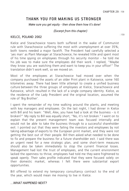# THANK YOU FOR MAKING US STRONGER

*Make sure you get equity - then show them how it's done!*

#### *(Excerpt from this chapter)*

### KIELCE, POLAND 2002

Kielce and Starachowice towns both suffered in the wake of Communist rule with Starachowice suffering the most with unemployment at over 35%; both towns needed a major facelift. The President had carefully selected a 'yes man' as Plant Manager at Starachowice; he revealed little and spent most of his time spying on employees through his security monitor - he told me his job was to make sure the employees did their work. I replied, "Maybe they know you are watching them and want to keep you in your office!" The translation didn't work well, so we moved on.

Most of the employees at Starachowice had moved over when the company purchased the assets of an older Print plant in Katowice, some 160 kilometres away. There had been little attempt to create a unified business culture between the three groups of employees at Kielce, Starachowice and Katowice, which resulted in the lack of a single company identity. Kielce, as the residence of the Lady President and the original location, assumed the role of 'Big Brother'.

I spent the remainder of my time walking around the plants, and meeting with key managers and employees. On the last night, I had dinner in Kielce with Bill and his team: "Well, Alex, you have had a look at the business - is it broken?" My reply to Bill was equally short, "No, it's not broken." I went on to explain that the present management team was focused internally and would not be able to take the business through to a successful shareholder exit. I pointed out that they were failing the investors and employees by not taking advantage of exports to the European print market, and they were not getting the best out of their people. Bill then asked what needed to be done to fix and prepare the business for a future shareholder exit. I said there was an urgent need for a new strategic plan, and some short-term measures should also be taken immediately to stop the current financial losses. Management had lost the trust of employees, and the current environment lacked the openness to thrive; employees had told me they were frightened to speak openly. Their sales profile indicated that they were focused solely on their domestic market, whereas I felt there were substantial export opportunities.

Bill offered to extend my temporary consultancy contract to the end of the year, which would mean me moving to live in Kielce.

#### *...WHAT HAPPENED NEXT?*

| 159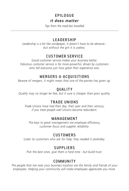# EPILOGUE *it does matter*

*Tips from the road less travelled*

# LEADERSHIP

*Leadership is a bit like sandpaper, it doesn't have to be abrasive but without the grit it is useless.*

# CUSTOMER SERVICE

*Good customer service makes your business better. Fabulous customer service is far more powerful, driven by customers who tell everyone just how great their experience was.*

# MERGERS & ACQUISITIONS

*Beware of mergers, it might mean that one of the parties has given up.*

# **OUALITY**

*Quality may no longer be free, but it sure is cheaper than poor quality.*

# TRADE UNIONS

*Trade Unions have had their day, their year and their century; if you treat people well Unions become redundant.*

# MANAGEMENT

*The keys to great management are employee efficiency, customer focus and supplier reliability.*

# CUSTOMERS

*Listen to customers who ask for help; they needed it yesterday.*

# SUPPLIERS

*Pick the best ones, give them a hard time - but build trust.*

# **COMMUNITY**

*The people that live near your business location are the family and friends of your employees. Helping your community will make employees appreciate you more.*